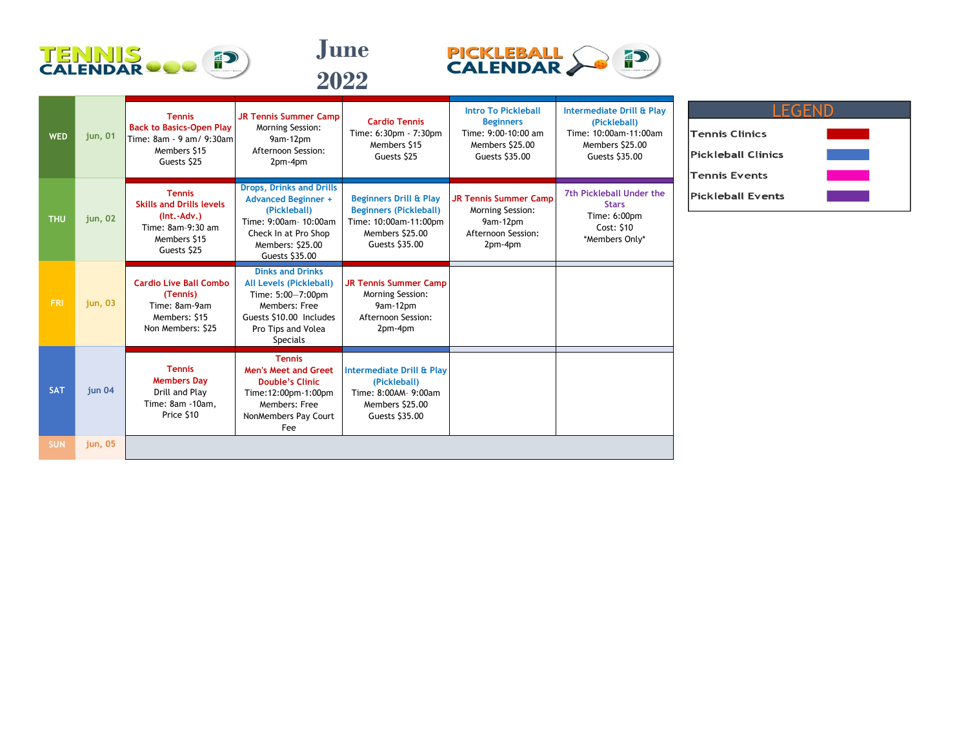





| <b>WED</b> | jun, 01 | <b>Tennis</b><br><b>Back to Basics-Open Play</b><br>Time: 8am - 9 am/ 9:30am<br>Members \$15<br>Guests \$25           | <b>JR Tennis Summer Camp</b><br>Morning Session:<br>9am-12pm<br>Afternoon Session:<br>2pm-4pm                                                                        | <b>Cardio Tennis</b><br>Time: 6:30pm - 7:30pm<br>Members \$15<br>Guests \$25                                                     | <b>Intro To Pickleball</b><br><b>Beginners</b><br>Time: $9:00-10:00$ am<br>Members \$25.00<br>Guests \$35.00 | Intermediate Drill & Play<br>(Pickleball)<br>Time: 10:00am-11:00am<br>Members \$25.00<br>Guests \$35.00 |
|------------|---------|-----------------------------------------------------------------------------------------------------------------------|----------------------------------------------------------------------------------------------------------------------------------------------------------------------|----------------------------------------------------------------------------------------------------------------------------------|--------------------------------------------------------------------------------------------------------------|---------------------------------------------------------------------------------------------------------|
| <b>THU</b> | jun, 02 | <b>Tennis</b><br><b>Skills and Drills levels</b><br>$(Int.-Adv.)$<br>Time: 8am-9:30 am<br>Members \$15<br>Guests \$25 | <b>Drops, Drinks and Drills</b><br><b>Advanced Beginner +</b><br>(Pickleball)<br>Time: 9:00am- 10:00am<br>Check In at Pro Shop<br>Members: \$25.00<br>Guests \$35.00 | <b>Beginners Drill &amp; Play</b><br><b>Beginners (Pickleball)</b><br>Time: 10:00am-11:00pm<br>Members \$25.00<br>Guests \$35.00 | <b>JR Tennis Summer Camp</b><br>Morning Session:<br>9am-12pm<br>Afternoon Session:<br>2pm-4pm                | 7th Pickleball Under the<br><b>Stars</b><br>Time: 6:00pm<br>Cost: \$10<br>*Members Only*                |
| <b>FRI</b> | jun, 03 | <b>Cardio Live Ball Combo</b><br>(Tennis)<br>Time: 8am-9am<br>Members: \$15<br>Non Members: \$25                      | <b>Dinks and Drinks</b><br><b>All Levels (Pickleball)</b><br>Time: 5:00-7:00pm<br>Members: Free<br>Guests \$10.00 Includes<br>Pro Tips and Volea<br><b>Specials</b>  | <b>JR Tennis Summer Camp</b><br>Morning Session:<br>9am-12pm<br>Afternoon Session:<br>2pm-4pm                                    |                                                                                                              |                                                                                                         |
| <b>SAT</b> | jun 04  | <b>Tennis</b><br><b>Members Day</b><br>Drill and Play<br>Time: 8am -10am,<br>Price \$10                               | <b>Tennis</b><br><b>Men's Meet and Greet</b><br><b>Double's Clinic</b><br>Time: 12:00pm-1:00pm<br>Members: Free<br>NonMembers Pay Court<br>Fee                       | Intermediate Drill & Play<br>(Pickleball)<br>Time: 8:00AM- 9:00am<br>Members \$25.00<br>Guests \$35.00                           |                                                                                                              |                                                                                                         |
| <b>SUN</b> | jun, 05 |                                                                                                                       |                                                                                                                                                                      |                                                                                                                                  |                                                                                                              |                                                                                                         |

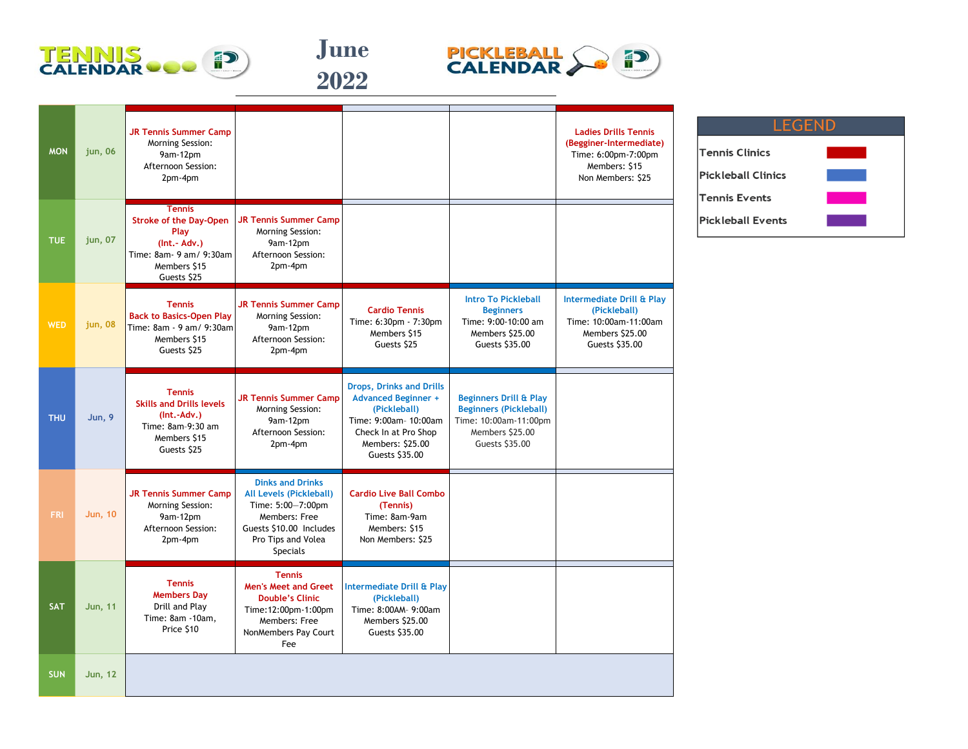





| <b>MON</b> | jun, 06        | <b>JR Tennis Summer Camp</b><br>Morning Session:<br>9am-12pm<br>Afternoon Session:<br>2pm-4pm                                     |                                                                                                                                                              |                                                                                                                                                                      |                                                                                                                                  | <b>Ladies Drills Tennis</b><br>(Begginer-Intermediate)<br>Time: 6:00pm-7:00pm<br>Members: \$15<br>Non Members: \$25 |
|------------|----------------|-----------------------------------------------------------------------------------------------------------------------------------|--------------------------------------------------------------------------------------------------------------------------------------------------------------|----------------------------------------------------------------------------------------------------------------------------------------------------------------------|----------------------------------------------------------------------------------------------------------------------------------|---------------------------------------------------------------------------------------------------------------------|
| <b>TUE</b> | jun, 07        | <b>Tennis</b><br><b>Stroke of the Day-Open</b><br>Play<br>$(Int.-Adv.)$<br>Time: 8am- 9 am/ 9:30am<br>Members \$15<br>Guests \$25 | <b>JR Tennis Summer Camp</b><br>Morning Session:<br>9am-12pm<br>Afternoon Session:<br>2pm-4pm                                                                |                                                                                                                                                                      |                                                                                                                                  |                                                                                                                     |
| <b>WED</b> | jun, 08        | <b>Tennis</b><br><b>Back to Basics-Open Play</b><br>Time: 8am - 9 am/ 9:30am<br>Members \$15<br>Guests \$25                       | <b>JR Tennis Summer Camp</b><br>Morning Session:<br>9am-12pm<br>Afternoon Session:<br>2pm-4pm                                                                | <b>Cardio Tennis</b><br>Time: 6:30pm - 7:30pm<br>Members \$15<br>Guests \$25                                                                                         | <b>Intro To Pickleball</b><br><b>Beginners</b><br>Time: 9:00-10:00 am<br>Members \$25.00<br>Guests \$35.00                       | Intermediate Drill & Play<br>(Pickleball)<br>Time: 10:00am-11:00am<br>Members \$25.00<br>Guests \$35.00             |
| <b>THU</b> | <b>Jun, 9</b>  | <b>Tennis</b><br><b>Skills and Drills levels</b><br>$(Int.-Adv.)$<br>Time: 8am-9:30 am<br>Members \$15<br>Guests \$25             | <b>JR Tennis Summer Camp</b><br>Morning Session:<br>9am-12pm<br>Afternoon Session:<br>2pm-4pm                                                                | <b>Drops, Drinks and Drills</b><br><b>Advanced Beginner +</b><br>(Pickleball)<br>Time: 9:00am- 10:00am<br>Check In at Pro Shop<br>Members: \$25.00<br>Guests \$35.00 | <b>Beginners Drill &amp; Play</b><br><b>Beginners (Pickleball)</b><br>Time: 10:00am-11:00pm<br>Members \$25.00<br>Guests \$35.00 |                                                                                                                     |
| <b>FRI</b> | <b>Jun, 10</b> | <b>JR Tennis Summer Camp</b><br>Morning Session:<br>9am-12pm<br>Afternoon Session:<br>2pm-4pm                                     | <b>Dinks and Drinks</b><br>All Levels (Pickleball)<br>Time: 5:00-7:00pm<br>Members: Free<br>Guests \$10.00 Includes<br>Pro Tips and Volea<br><b>Specials</b> | <b>Cardio Live Ball Combo</b><br>(Tennis)<br>Time: 8am-9am<br>Members: \$15<br>Non Members: \$25                                                                     |                                                                                                                                  |                                                                                                                     |
| <b>SAT</b> | <b>Jun, 11</b> | <b>Tennis</b><br><b>Members Dav</b><br>Drill and Play<br>Time: 8am -10am,<br>Price \$10                                           | <b>Tennis</b><br><b>Men's Meet and Greet</b><br><b>Double's Clinic</b><br>Time: 12:00pm-1:00pm<br>Members: Free<br>NonMembers Pay Court<br>Fee               | <b>Intermediate Drill &amp; Play</b><br>(Pickleball)<br>Time: 8:00AM- 9:00am<br>Members \$25.00<br>Guests \$35.00                                                    |                                                                                                                                  |                                                                                                                     |
| <b>SUN</b> | <b>Jun, 12</b> |                                                                                                                                   |                                                                                                                                                              |                                                                                                                                                                      |                                                                                                                                  |                                                                                                                     |

| <b>LEGEND</b>             |  |  |  |  |  |  |
|---------------------------|--|--|--|--|--|--|
|                           |  |  |  |  |  |  |
| <b>Tennis Clinics</b>     |  |  |  |  |  |  |
| <b>Pickleball Clinics</b> |  |  |  |  |  |  |
| <b>Tennis Events</b>      |  |  |  |  |  |  |
| <b>Pickleball Events</b>  |  |  |  |  |  |  |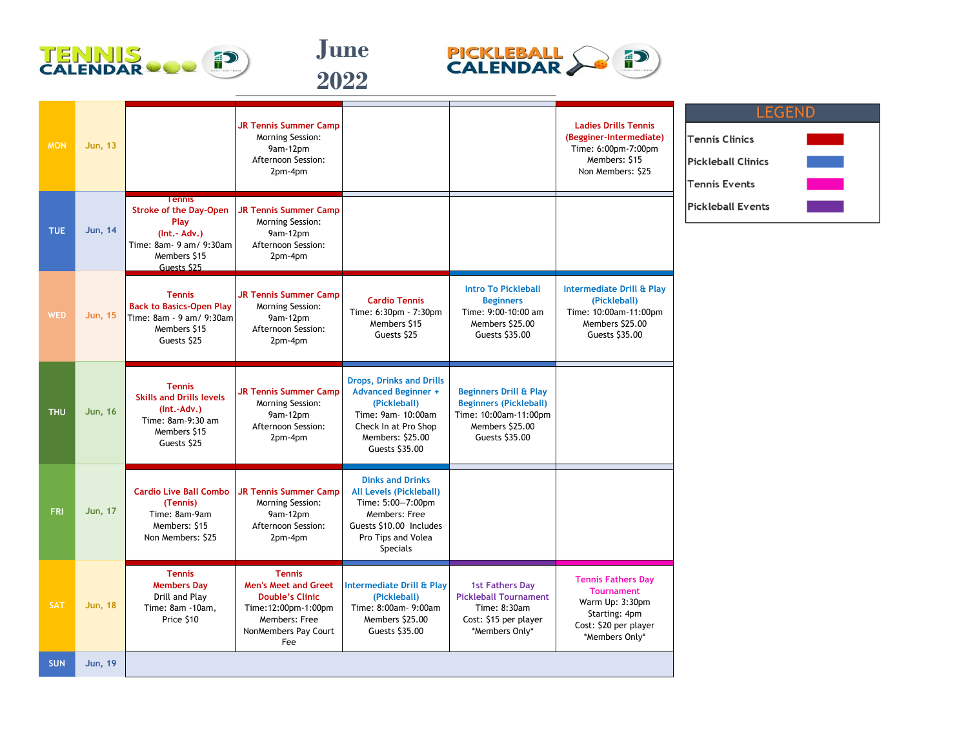





| <b>MON</b> | <b>Jun, 13</b> |                                                                                                                                   | <b>JR Tennis Summer Camp</b><br>Morning Session:<br>9am-12pm<br>Afternoon Session:<br>2pm-4pm                                                  |                                                                                                                                                                     |                                                                                                                                  | <b>Ladies Drills Tennis</b><br>(Begginer-Intermediate)<br>Time: 6:00pm-7:00pm<br>Members: \$15<br>Non Members: \$25           | <b>LEGEND</b><br><b>Tennis Clinics</b><br><b>Pickleball Clinics</b><br><b>Tennis Events</b> |
|------------|----------------|-----------------------------------------------------------------------------------------------------------------------------------|------------------------------------------------------------------------------------------------------------------------------------------------|---------------------------------------------------------------------------------------------------------------------------------------------------------------------|----------------------------------------------------------------------------------------------------------------------------------|-------------------------------------------------------------------------------------------------------------------------------|---------------------------------------------------------------------------------------------|
| <b>TUE</b> | <b>Jun, 14</b> | <b>Tennis</b><br><b>Stroke of the Day-Open</b><br>Play<br>$(Int.-Adv.)$<br>Time: 8am- 9 am/ 9:30am<br>Members \$15<br>Guests \$25 | <b>JR Tennis Summer Camp</b><br>Morning Session:<br>9am-12pm<br>Afternoon Session:<br>2pm-4pm                                                  |                                                                                                                                                                     |                                                                                                                                  |                                                                                                                               | <b>Pickleball Events</b>                                                                    |
| <b>WED</b> | <b>Jun, 15</b> | <b>Tennis</b><br><b>Back to Basics-Open Play</b><br>Time: 8am - 9 am/ 9:30am<br>Members \$15<br>Guests \$25                       | <b>JR Tennis Summer Camp</b><br>Morning Session:<br>9am-12pm<br>Afternoon Session:<br>2pm-4pm                                                  | <b>Cardio Tennis</b><br>Time: 6:30pm - 7:30pm<br>Members \$15<br>Guests \$25                                                                                        | <b>Intro To Pickleball</b><br><b>Beginners</b><br>Time: 9:00-10:00 am<br>Members \$25.00<br>Guests \$35.00                       | Intermediate Drill & Play<br>(Pickleball)<br>Time: 10:00am-11:00pm<br>Members \$25.00<br>Guests \$35.00                       |                                                                                             |
| <b>THU</b> | <b>Jun, 16</b> | <b>Tennis</b><br><b>Skills and Drills levels</b><br>(Int.-Adv.)<br>Time: 8am-9:30 am<br>Members \$15<br>Guests \$25               | JR Tennis Summer Camp<br><b>Morning Session:</b><br>9am-12pm<br>Afternoon Session:<br>2pm-4pm                                                  | <b>Drops, Drinks and Drills</b><br><b>Advanced Beginner +</b><br>(Pickleball)<br>Time: 9am- 10:00am<br>Check In at Pro Shop<br>Members: \$25.00<br>Guests \$35.00   | <b>Beginners Drill &amp; Play</b><br><b>Beginners (Pickleball)</b><br>Time: 10:00am-11:00pm<br>Members \$25.00<br>Guests \$35.00 |                                                                                                                               |                                                                                             |
| <b>FRI</b> | <b>Jun, 17</b> | <b>Cardio Live Ball Combo</b><br>(Tennis)<br>Time: 8am-9am<br>Members: \$15<br>Non Members: \$25                                  | <b>JR Tennis Summer Camp</b><br><b>Morning Session:</b><br>9am-12pm<br>Afternoon Session:<br>2pm-4pm                                           | <b>Dinks and Drinks</b><br><b>All Levels (Pickleball)</b><br>Time: 5:00-7:00pm<br>Members: Free<br>Guests \$10.00 Includes<br>Pro Tips and Volea<br><b>Specials</b> |                                                                                                                                  |                                                                                                                               |                                                                                             |
| <b>SAT</b> | <b>Jun, 18</b> | <b>Tennis</b><br><b>Members Day</b><br>Drill and Play<br>Time: 8am -10am,<br>Price \$10                                           | <b>Tennis</b><br><b>Men's Meet and Greet</b><br><b>Double's Clinic</b><br>Time: 12:00pm-1:00pm<br>Members: Free<br>NonMembers Pay Court<br>Fee | Intermediate Drill & Play<br>(Pickleball)<br>Time: 8:00am- 9:00am<br>Members \$25.00<br>Guests \$35.00                                                              | <b>1st Fathers Day</b><br><b>Pickleball Tournament</b><br>Time: 8:30am<br>Cost: \$15 per player<br>*Members Only*                | <b>Tennis Fathers Day</b><br><b>Tournament</b><br>Warm Up: 3:30pm<br>Starting: 4pm<br>Cost: \$20 per player<br>*Members Only* |                                                                                             |
| <b>SUN</b> | <b>Jun, 19</b> |                                                                                                                                   |                                                                                                                                                |                                                                                                                                                                     |                                                                                                                                  |                                                                                                                               |                                                                                             |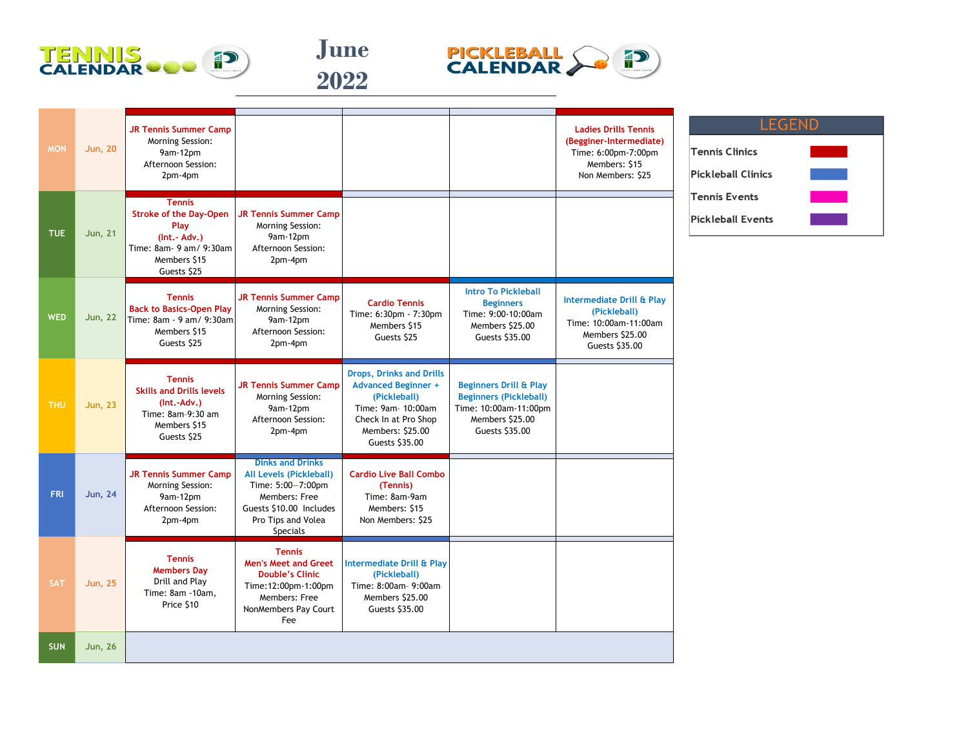





| <b>MON</b> | <b>Jun, 20</b> | <b>JR Tennis Summer Camp</b><br>Morning Session:<br>9am-12pm<br>Afternoon Session:<br>2pm-4pm                                     |                                                                                                                                                                     |                                                                                                                                                                   |                                                                                                                                  | <b>Ladies Drills Tennis</b><br>(Begginer-Intermediate)<br>Time: 6:00pm-7:00pm<br>Members: \$15<br>Non Members: \$25 |
|------------|----------------|-----------------------------------------------------------------------------------------------------------------------------------|---------------------------------------------------------------------------------------------------------------------------------------------------------------------|-------------------------------------------------------------------------------------------------------------------------------------------------------------------|----------------------------------------------------------------------------------------------------------------------------------|---------------------------------------------------------------------------------------------------------------------|
| <b>TUE</b> | <b>Jun, 21</b> | <b>Tennis</b><br><b>Stroke of the Day-Open</b><br>Play<br>$(Int.-Adv.)$<br>Time: 8am- 9 am/ 9:30am<br>Members \$15<br>Guests \$25 | <b>JR Tennis Summer Camp</b><br>Morning Session:<br>9am-12pm<br>Afternoon Session:<br>2pm-4pm                                                                       |                                                                                                                                                                   |                                                                                                                                  |                                                                                                                     |
| <b>WED</b> | <b>Jun, 22</b> | <b>Tennis</b><br><b>Back to Basics-Open Play</b><br>Time: 8am - 9 am/ 9:30am<br>Members \$15<br>Guests \$25                       | <b>JR Tennis Summer Camp</b><br>Morning Session:<br>9am-12pm<br>Afternoon Session:<br>2pm-4pm                                                                       | <b>Cardio Tennis</b><br>Time: 6:30pm - 7:30pm<br>Members \$15<br>Guests \$25                                                                                      | <b>Intro To Pickleball</b><br><b>Beginners</b><br>Time: 9:00-10:00am<br>Members \$25.00<br>Guests \$35.00                        | <b>Intermediate Drill &amp; Play</b><br>(Pickleball)<br>Time: 10:00am-11:00am<br>Members \$25.00<br>Guests \$35.00  |
| <b>THU</b> | <b>Jun, 23</b> | <b>Tennis</b><br><b>Skills and Drills levels</b><br>(Int.-Adv.)<br>Time: 8am-9:30 am<br>Members \$15<br>Guests \$25               | <b>JR Tennis Summer Camp</b><br>Morning Session:<br>9am-12pm<br>Afternoon Session:<br>2pm-4pm                                                                       | <b>Drops, Drinks and Drills</b><br><b>Advanced Beginner +</b><br>(Pickleball)<br>Time: 9am- 10:00am<br>Check In at Pro Shop<br>Members: \$25.00<br>Guests \$35.00 | <b>Beginners Drill &amp; Play</b><br><b>Beginners (Pickleball)</b><br>Time: 10:00am-11:00pm<br>Members \$25.00<br>Guests \$35.00 |                                                                                                                     |
| <b>FRI</b> | <b>Jun, 24</b> | <b>JR Tennis Summer Camp</b><br>Morning Session:<br>9am-12pm<br>Afternoon Session:<br>2pm-4pm                                     | <b>Dinks and Drinks</b><br><b>All Levels (Pickleball)</b><br>Time: 5:00-7:00pm<br>Members: Free<br>Guests \$10.00 Includes<br>Pro Tips and Volea<br><b>Specials</b> | <b>Cardio Live Ball Combo</b><br>(Tennis)<br>Time: 8am-9am<br>Members: \$15<br>Non Members: \$25                                                                  |                                                                                                                                  |                                                                                                                     |
| <b>SAT</b> | <b>Jun, 25</b> | <b>Tennis</b><br><b>Members Day</b><br>Drill and Play<br>Time: 8am -10am,<br>Price \$10                                           | <b>Tennis</b><br><b>Men's Meet and Greet</b><br><b>Double's Clinic</b><br>Time: 12:00pm-1:00pm<br>Members: Free<br>NonMembers Pay Court<br>Fee                      | Intermediate Drill & Play<br>(Pickleball)<br>Time: 8:00am- 9:00am<br>Members \$25.00<br>Guests \$35.00                                                            |                                                                                                                                  |                                                                                                                     |
| <b>SUN</b> | <b>Jun, 26</b> |                                                                                                                                   |                                                                                                                                                                     |                                                                                                                                                                   |                                                                                                                                  |                                                                                                                     |

| <b>LEGEND</b>     |  |
|-------------------|--|
| ennis Clinics     |  |
| ickleball Clinics |  |
| ennis Events      |  |
| ickleball Events' |  |
|                   |  |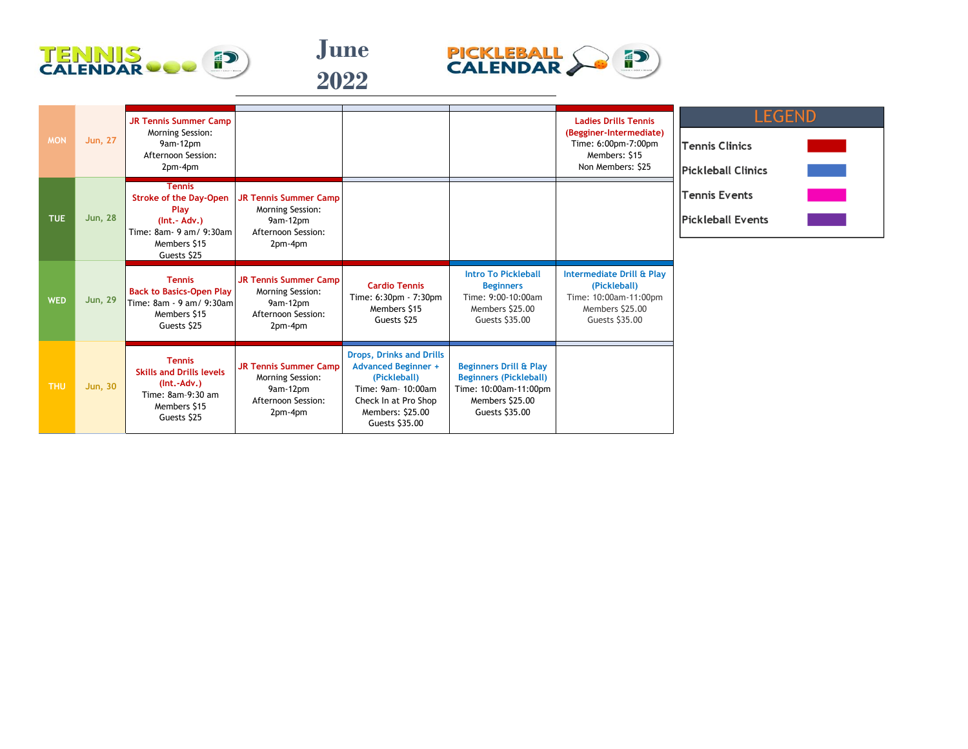





| <b>MON</b> | <b>Jun, 27</b> | <b>JR Tennis Summer Camp</b><br>Morning Session:<br>9am-12pm<br>Afternoon Session:<br>2pm-4pm                                     |                                                                                               |                                                                                                                                                                   |                                                                                                                                  | <b>Ladies Drills Tennis</b><br>(Begginer-Intermediate)<br>Time: 6:00pm-7:00pm<br>Members: \$15<br>Non Members: \$25 | <b>LEGEND</b><br>Tennis Clinics<br><b>Pickleball Clinics</b> |
|------------|----------------|-----------------------------------------------------------------------------------------------------------------------------------|-----------------------------------------------------------------------------------------------|-------------------------------------------------------------------------------------------------------------------------------------------------------------------|----------------------------------------------------------------------------------------------------------------------------------|---------------------------------------------------------------------------------------------------------------------|--------------------------------------------------------------|
| <b>TUE</b> | <b>Jun, 28</b> | <b>Tennis</b><br><b>Stroke of the Day-Open</b><br>Play<br>$(Int.-Adv.)$<br>Time: 8am- 9 am/ 9:30am<br>Members \$15<br>Guests \$25 | <b>JR Tennis Summer Camp</b><br>Morning Session:<br>9am-12pm<br>Afternoon Session:<br>2pm-4pm |                                                                                                                                                                   |                                                                                                                                  |                                                                                                                     | <b>Tennis Events</b><br><b>Pickleball Events</b>             |
| <b>WED</b> | <b>Jun, 29</b> | <b>Tennis</b><br><b>Back to Basics-Open Play</b><br>Time: 8am - 9 am/ 9:30am<br>Members \$15<br>Guests \$25                       | <b>JR Tennis Summer Camp</b><br>Morning Session:<br>9am-12pm<br>Afternoon Session:<br>2pm-4pm | <b>Cardio Tennis</b><br>Time: 6:30pm - 7:30pm<br>Members \$15<br>Guests \$25                                                                                      | <b>Intro To Pickleball</b><br><b>Beginners</b><br>Time: 9:00-10:00am<br>Members \$25.00<br>Guests \$35.00                        | Intermediate Drill & Play<br>(Pickleball)<br>Time: 10:00am-11:00pm<br>Members \$25.00<br>Guests \$35.00             |                                                              |
| <b>THU</b> | <b>Jun, 30</b> | <b>Tennis</b><br><b>Skills and Drills levels</b><br>$(Int.-Adv.)$<br>Time: 8am-9:30 am<br>Members \$15<br>Guests \$25             | <b>JR Tennis Summer Camp</b><br>Morning Session:<br>9am-12pm<br>Afternoon Session:<br>2pm-4pm | <b>Drops, Drinks and Drills</b><br><b>Advanced Beginner +</b><br>(Pickleball)<br>Time: 9am- 10:00am<br>Check In at Pro Shop<br>Members: \$25.00<br>Guests \$35.00 | <b>Beginners Drill &amp; Play</b><br><b>Beginners (Pickleball)</b><br>Time: 10:00am-11:00pm<br>Members \$25.00<br>Guests \$35.00 |                                                                                                                     |                                                              |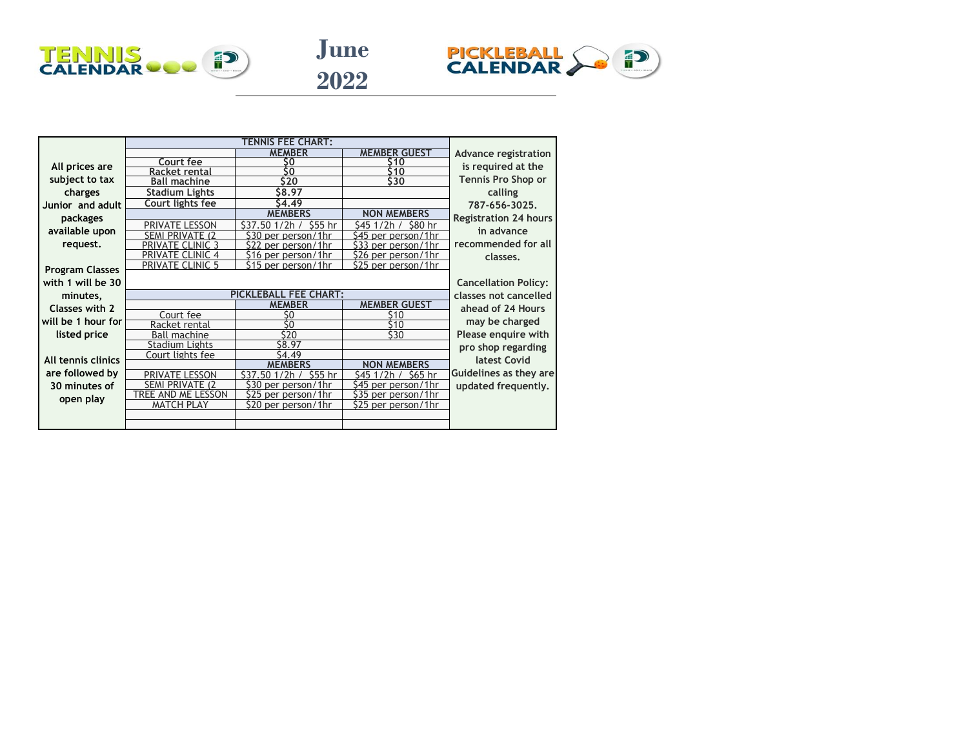





|                        |                             |                                      | <b>MEMBER GUEST</b>                | Advance registration         |
|------------------------|-----------------------------|--------------------------------------|------------------------------------|------------------------------|
| All prices are         | Court fee                   | so                                   | S 10                               | is required at the           |
|                        | Racket rental               | ŝ۵                                   | 10                                 |                              |
| subject to tax         | <b>Ball machine</b>         | \$20                                 | \$30                               | <b>Tennis Pro Shop or</b>    |
| charges                | <b>Stadium Lights</b>       | S8.97                                |                                    | calling                      |
| Junior and adult       | Court lights fee            | 4.49                                 |                                    | 787-656-3025.                |
| packages               |                             | <b>MEMBERS</b>                       | <b>NON MEMBERS</b>                 | <b>Registration 24 hours</b> |
| available upon         | PRIVATE LESSON              | S37.50 1/2h<br>\$55 hr               | S45 1/2h /<br>\$80 hr              | in advance                   |
|                        | SFMI PRIVATF (2             | S30 per person<br>/1hr               | \$45 per person/1hr                |                              |
| request.               | IE.                         | \$22 per person/1hr                  | \$33 per person/1hr                | recommended for all          |
|                        |                             | \$16 per person/1hr                  | \$26 per person/1hr                | classes.                     |
| <b>Program Classes</b> | <b>PRIVATE CLINIC 5</b>     | \$15 per person/1hr                  | \$25 per person/1hr                |                              |
| with 1 will be 30      |                             |                                      |                                    | <b>Cancellation Policy:</b>  |
| minutes,               |                             | <b>PICKLEBALL FEE CHART:</b>         | classes not cancelled              |                              |
| Classes with 2         |                             | <b>MEMBER</b>                        | <b>MEMBER GUEST</b>                | ahead of 24 Hours            |
| will be 1 hour for     | Court fee                   | S0                                   | S10                                | may be charged               |
|                        | Racket rental               | Ś0                                   | 10،                                |                              |
| listed price           | Ball machine                | \$20                                 | \$30                               | Please enquire with          |
|                        | Stadium Lights              | \$8.97                               |                                    | pro shop regarding           |
| All tennis clinics     | Court lights fee            | S4.49                                |                                    | latest Covid                 |
| are followed by        |                             | <b>MEMBERS</b><br>\$55 hr<br>1/2h    | <b>NON MEMBERS</b>                 | Guidelines as they are       |
|                        | PRIVATE LESSON<br>SFMI PRIV | \$37.50<br>530<br>1hr                | S45<br>S65 hr<br>S45<br>/1hr       |                              |
| 30 minutes of          | <b>FSSON</b><br>TRFF AND MF | per person<br>\$25<br>per person/1hr | per person.<br>\$35 per person/1hr | updated frequently.          |
| open play              | <b>MATCH PLAY</b>           | \$20 per person/1hr                  | \$25 per person/1hr                |                              |
|                        |                             |                                      |                                    |                              |
|                        |                             |                                      |                                    |                              |